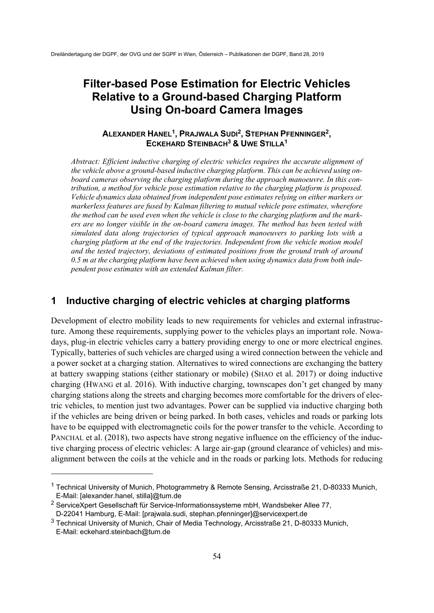# **Filter-based Pose Estimation for Electric Vehicles Relative to a Ground-based Charging Platform Using On-board Camera Images**

## **ALEXANDER HANEL1, PRAJWALA SUDI2, STEPHAN PFENNINGER2, ECKEHARD STEINBACH3 & UWE STILLA1**

*Abstract: Efficient inductive charging of electric vehicles requires the accurate alignment of the vehicle above a ground-based inductive charging platform. This can be achieved using onboard cameras observing the charging platform during the approach manoeuvre. In this contribution, a method for vehicle pose estimation relative to the charging platform is proposed. Vehicle dynamics data obtained from independent pose estimates relying on either markers or markerless features are fused by Kalman filtering to mutual vehicle pose estimates, wherefore the method can be used even when the vehicle is close to the charging platform and the markers are no longer visible in the on-board camera images. The method has been tested with simulated data along trajectories of typical approach manoeuvers to parking lots with a charging platform at the end of the trajectories. Independent from the vehicle motion model and the tested trajectory, deviations of estimated positions from the ground truth of around 0.5 m at the charging platform have been achieved when using dynamics data from both independent pose estimates with an extended Kalman filter.* 

## **1 Inductive charging of electric vehicles at charging platforms**

Development of electro mobility leads to new requirements for vehicles and external infrastructure. Among these requirements, supplying power to the vehicles plays an important role. Nowadays, plug-in electric vehicles carry a battery providing energy to one or more electrical engines. Typically, batteries of such vehicles are charged using a wired connection between the vehicle and a power socket at a charging station. Alternatives to wired connections are exchanging the battery at battery swapping stations (either stationary or mobile) (SHAO et al. 2017) or doing inductive charging (HWANG et al. 2016). With inductive charging, townscapes don't get changed by many charging stations along the streets and charging becomes more comfortable for the drivers of electric vehicles, to mention just two advantages. Power can be supplied via inductive charging both if the vehicles are being driven or being parked. In both cases, vehicles and roads or parking lots have to be equipped with electromagnetic coils for the power transfer to the vehicle. According to PANCHAL et al. (2018), two aspects have strong negative influence on the efficiency of the inductive charging process of electric vehicles: A large air-gap (ground clearance of vehicles) and misalignment between the coils at the vehicle and in the roads or parking lots. Methods for reducing

-

<sup>1</sup> Technical University of Munich, Photogrammetry & Remote Sensing, Arcisstraße 21, D-80333 Munich, E-Mail: [alexander.hanel, stilla]@tum.de

<sup>2</sup> ServiceXpert Gesellschaft für Service-Informationssysteme mbH, Wandsbeker Allee 77, D-22041 Hamburg, E-Mail: [prajwala.sudi, stephan.pfenninger]@servicexpert.de

<sup>3</sup> Technical University of Munich, Chair of Media Technology, Arcisstraße 21, D-80333 Munich, E-Mail: eckehard.steinbach@tum.de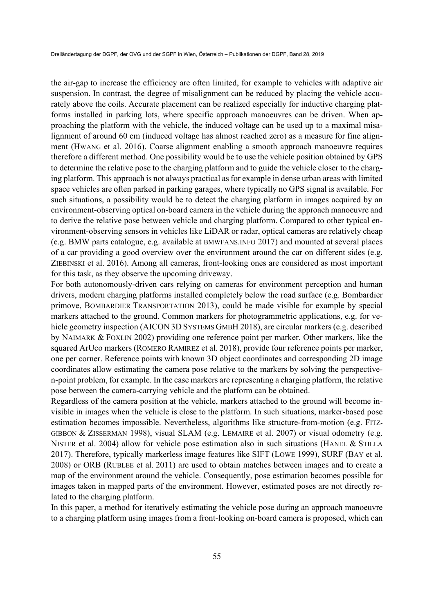the air-gap to increase the efficiency are often limited, for example to vehicles with adaptive air suspension. In contrast, the degree of misalignment can be reduced by placing the vehicle accurately above the coils. Accurate placement can be realized especially for inductive charging platforms installed in parking lots, where specific approach manoeuvres can be driven. When approaching the platform with the vehicle, the induced voltage can be used up to a maximal misalignment of around 60 cm (induced voltage has almost reached zero) as a measure for fine alignment (HWANG et al. 2016). Coarse alignment enabling a smooth approach manoeuvre requires therefore a different method. One possibility would be to use the vehicle position obtained by GPS to determine the relative pose to the charging platform and to guide the vehicle closer to the charging platform. This approach is not always practical as for example in dense urban areas with limited space vehicles are often parked in parking garages, where typically no GPS signal is available. For such situations, a possibility would be to detect the charging platform in images acquired by an environment-observing optical on-board camera in the vehicle during the approach manoeuvre and to derive the relative pose between vehicle and charging platform. Compared to other typical environment-observing sensors in vehicles like LiDAR or radar, optical cameras are relatively cheap (e.g. BMW parts catalogue, e.g. available at BMWFANS.INFO 2017) and mounted at several places of a car providing a good overview over the environment around the car on different sides (e.g. ZIEBINSKI et al. 2016). Among all cameras, front-looking ones are considered as most important for this task, as they observe the upcoming driveway.

For both autonomously-driven cars relying on cameras for environment perception and human drivers, modern charging platforms installed completely below the road surface (e.g. Bombardier primove, BOMBARDIER TRANSPORTATION 2013), could be made visible for example by special markers attached to the ground. Common markers for photogrammetric applications, e.g. for vehicle geometry inspection (AICON 3D SYSTEMS GMBH 2018), are circular markers (e.g. described by NAIMARK & FOXLIN 2002) providing one reference point per marker. Other markers, like the squared ArUco markers (ROMERO RAMIREZ et al. 2018), provide four reference points per marker, one per corner. Reference points with known 3D object coordinates and corresponding 2D image coordinates allow estimating the camera pose relative to the markers by solving the perspectiven-point problem, for example. In the case markers are representing a charging platform, the relative pose between the camera-carrying vehicle and the platform can be obtained.

Regardless of the camera position at the vehicle, markers attached to the ground will become invisible in images when the vehicle is close to the platform. In such situations, marker-based pose estimation becomes impossible. Nevertheless, algorithms like structure-from-motion (e.g. FITZ-GIBBON & ZISSERMAN 1998), visual SLAM (e.g. LEMAIRE et al. 2007) or visual odometry (e.g. NISTER et al. 2004) allow for vehicle pose estimation also in such situations (HANEL & STILLA 2017). Therefore, typically markerless image features like SIFT (LOWE 1999), SURF (BAY et al. 2008) or ORB (RUBLEE et al. 2011) are used to obtain matches between images and to create a map of the environment around the vehicle. Consequently, pose estimation becomes possible for images taken in mapped parts of the environment. However, estimated poses are not directly related to the charging platform.

In this paper, a method for iteratively estimating the vehicle pose during an approach manoeuvre to a charging platform using images from a front-looking on-board camera is proposed, which can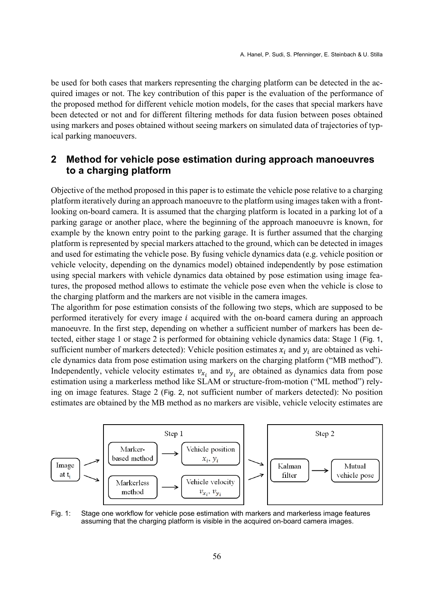be used for both cases that markers representing the charging platform can be detected in the acquired images or not. The key contribution of this paper is the evaluation of the performance of the proposed method for different vehicle motion models, for the cases that special markers have been detected or not and for different filtering methods for data fusion between poses obtained using markers and poses obtained without seeing markers on simulated data of trajectories of typical parking manoeuvers.

## **2 Method for vehicle pose estimation during approach manoeuvres to a charging platform**

Objective of the method proposed in this paper is to estimate the vehicle pose relative to a charging platform iteratively during an approach manoeuvre to the platform using images taken with a frontlooking on-board camera. It is assumed that the charging platform is located in a parking lot of a parking garage or another place, where the beginning of the approach manoeuvre is known, for example by the known entry point to the parking garage. It is further assumed that the charging platform is represented by special markers attached to the ground, which can be detected in images and used for estimating the vehicle pose. By fusing vehicle dynamics data (e.g. vehicle position or vehicle velocity, depending on the dynamics model) obtained independently by pose estimation using special markers with vehicle dynamics data obtained by pose estimation using image features, the proposed method allows to estimate the vehicle pose even when the vehicle is close to the charging platform and the markers are not visible in the camera images.

The algorithm for pose estimation consists of the following two steps, which are supposed to be performed iteratively for every image  $i$  acquired with the on-board camera during an approach manoeuvre. In the first step, depending on whether a sufficient number of markers has been detected, either stage 1 or stage 2 is performed for obtaining vehicle dynamics data: Stage 1 (Fig. 1, sufficient number of markers detected): Vehicle position estimates  $x_i$  and  $y_i$  are obtained as vehicle dynamics data from pose estimation using markers on the charging platform ("MB method"). Independently, vehicle velocity estimates  $v_{x_i}$  and  $v_{y_i}$  are obtained as dynamics data from pose estimation using a markerless method like SLAM or structure-from-motion ("ML method") relying on image features. Stage 2 (Fig. 2, not sufficient number of markers detected): No position estimates are obtained by the MB method as no markers are visible, vehicle velocity estimates are



Fig. 1: Stage one workflow for vehicle pose estimation with markers and markerless image features assuming that the charging platform is visible in the acquired on-board camera images.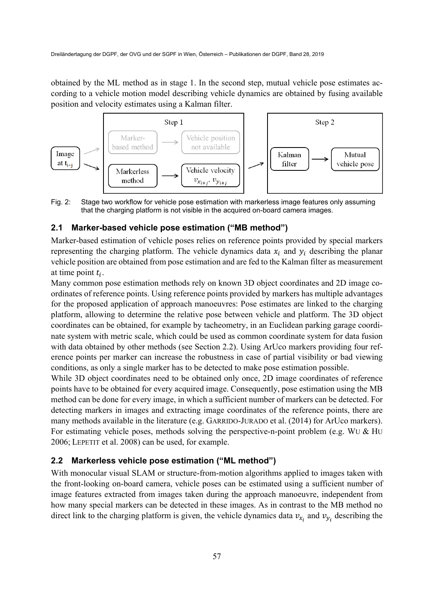obtained by the ML method as in stage 1. In the second step, mutual vehicle pose estimates according to a vehicle motion model describing vehicle dynamics are obtained by fusing available position and velocity estimates using a Kalman filter.



Fig. 2: Stage two workflow for vehicle pose estimation with markerless image features only assuming that the charging platform is not visible in the acquired on-board camera images.

#### **2.1 Marker-based vehicle pose estimation ("MB method")**

Marker-based estimation of vehicle poses relies on reference points provided by special markers representing the charging platform. The vehicle dynamics data  $x_i$  and  $y_i$  describing the planar vehicle position are obtained from pose estimation and are fed to the Kalman filter as measurement at time point  $t_i$ .

Many common pose estimation methods rely on known 3D object coordinates and 2D image coordinates of reference points. Using reference points provided by markers has multiple advantages for the proposed application of approach manoeuvres: Pose estimates are linked to the charging platform, allowing to determine the relative pose between vehicle and platform. The 3D object coordinates can be obtained, for example by tacheometry, in an Euclidean parking garage coordinate system with metric scale, which could be used as common coordinate system for data fusion with data obtained by other methods (see Section 2.2). Using ArUco markers providing four reference points per marker can increase the robustness in case of partial visibility or bad viewing conditions, as only a single marker has to be detected to make pose estimation possible.

While 3D object coordinates need to be obtained only once, 2D image coordinates of reference points have to be obtained for every acquired image. Consequently, pose estimation using the MB method can be done for every image, in which a sufficient number of markers can be detected. For detecting markers in images and extracting image coordinates of the reference points, there are many methods available in the literature (e.g. GARRIDO-JURADO et al. (2014) for ArUco markers). For estimating vehicle poses, methods solving the perspective-n-point problem (e.g. WU & HU 2006; LEPETIT et al. 2008) can be used, for example.

#### **2.2 Markerless vehicle pose estimation ("ML method")**

With monocular visual SLAM or structure-from-motion algorithms applied to images taken with the front-looking on-board camera, vehicle poses can be estimated using a sufficient number of image features extracted from images taken during the approach manoeuvre, independent from how many special markers can be detected in these images. As in contrast to the MB method no direct link to the charging platform is given, the vehicle dynamics data  $v_{x_i}$  and  $v_{y_i}$  describing the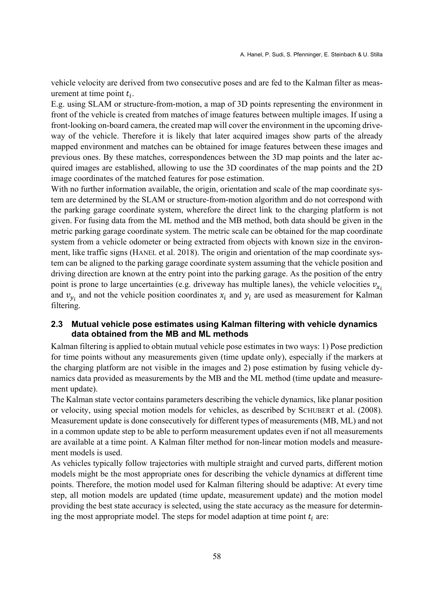vehicle velocity are derived from two consecutive poses and are fed to the Kalman filter as measurement at time point  $t_i$ .

E.g. using SLAM or structure-from-motion, a map of 3D points representing the environment in front of the vehicle is created from matches of image features between multiple images. If using a front-looking on-board camera, the created map will cover the environment in the upcoming driveway of the vehicle. Therefore it is likely that later acquired images show parts of the already mapped environment and matches can be obtained for image features between these images and previous ones. By these matches, correspondences between the 3D map points and the later acquired images are established, allowing to use the 3D coordinates of the map points and the 2D image coordinates of the matched features for pose estimation.

With no further information available, the origin, orientation and scale of the map coordinate system are determined by the SLAM or structure-from-motion algorithm and do not correspond with the parking garage coordinate system, wherefore the direct link to the charging platform is not given. For fusing data from the ML method and the MB method, both data should be given in the metric parking garage coordinate system. The metric scale can be obtained for the map coordinate system from a vehicle odometer or being extracted from objects with known size in the environment, like traffic signs (HANEL et al. 2018). The origin and orientation of the map coordinate system can be aligned to the parking garage coordinate system assuming that the vehicle position and driving direction are known at the entry point into the parking garage. As the position of the entry point is prone to large uncertainties (e.g. driveway has multiple lanes), the vehicle velocities  $v_{x_i}$ and  $v_{y_i}$  and not the vehicle position coordinates  $x_i$  and  $y_i$  are used as measurement for Kalman filtering.

## **2.3 Mutual vehicle pose estimates using Kalman filtering with vehicle dynamics data obtained from the MB and ML methods**

Kalman filtering is applied to obtain mutual vehicle pose estimates in two ways: 1) Pose prediction for time points without any measurements given (time update only), especially if the markers at the charging platform are not visible in the images and 2) pose estimation by fusing vehicle dynamics data provided as measurements by the MB and the ML method (time update and measurement update).

The Kalman state vector contains parameters describing the vehicle dynamics, like planar position or velocity, using special motion models for vehicles, as described by SCHUBERT et al. (2008). Measurement update is done consecutively for different types of measurements (MB, ML) and not in a common update step to be able to perform measurement updates even if not all measurements are available at a time point. A Kalman filter method for non-linear motion models and measurement models is used.

As vehicles typically follow trajectories with multiple straight and curved parts, different motion models might be the most appropriate ones for describing the vehicle dynamics at different time points. Therefore, the motion model used for Kalman filtering should be adaptive: At every time step, all motion models are updated (time update, measurement update) and the motion model providing the best state accuracy is selected, using the state accuracy as the measure for determining the most appropriate model. The steps for model adaption at time point  $t_i$  are: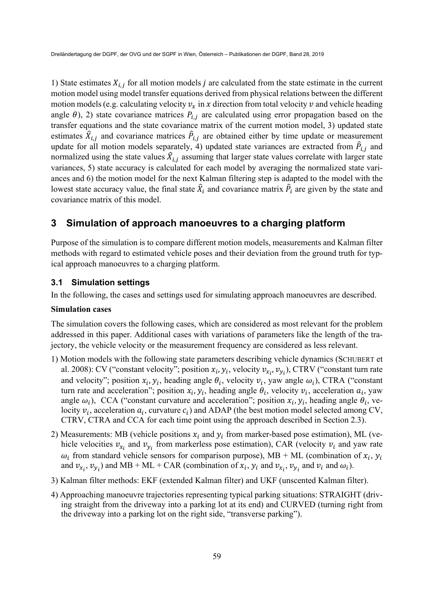1) State estimates  $X_{i,j}$  for all motion models *j* are calculated from the state estimate in the current motion model using model transfer equations derived from physical relations between the different motion models (e.g. calculating velocity  $v_x$  in  $x$  direction from total velocity  $v$  and vehicle heading angle  $\theta$ ), 2) state covariance matrices  $P_{i,j}$  are calculated using error propagation based on the transfer equations and the state covariance matrix of the current motion model, 3) updated state estimates  $\hat{X}_{i,j}$  and covariance matrices  $\hat{P}_{i,j}$  are obtained either by time update or measurement update for all motion models separately, 4) updated state variances are extracted from  $\hat{P}_{i,j}$  and normalized using the state values  $\hat{X}_{i,j}$  assuming that larger state values correlate with larger state variances, 5) state accuracy is calculated for each model by averaging the normalized state variances and 6) the motion model for the next Kalman filtering step is adapted to the model with the lowest state accuracy value, the final state  $\hat{X}_i$  and covariance matrix  $\hat{P}_i$  are given by the state and covariance matrix of this model.

## **3 Simulation of approach manoeuvres to a charging platform**

Purpose of the simulation is to compare different motion models, measurements and Kalman filter methods with regard to estimated vehicle poses and their deviation from the ground truth for typical approach manoeuvres to a charging platform.

### **3.1 Simulation settings**

In the following, the cases and settings used for simulating approach manoeuvres are described.

#### **Simulation cases**

The simulation covers the following cases, which are considered as most relevant for the problem addressed in this paper. Additional cases with variations of parameters like the length of the trajectory, the vehicle velocity or the measurement frequency are considered as less relevant.

- 1) Motion models with the following state parameters describing vehicle dynamics (SCHUBERT et al. 2008): CV ("constant velocity"; position  $x_i$ ,  $y_i$ , velocity  $v_{x_i}$ ,  $v_{y_i}$ ), CTRV ("constant turn rate and velocity"; position  $x_i, y_i$ , heading angle  $\theta_i$ , velocity  $v_i$ , yaw angle  $\omega_i$ ), CTRA ("constant turn rate and acceleration"; position  $x_i$ ,  $y_i$ , heading angle  $\theta_i$ , velocity  $v_i$ , acceleration  $a_i$ , yaw angle  $\omega_i$ ), CCA ("constant curvature and acceleration"; position  $x_i$ ,  $y_i$ , heading angle  $\theta_i$ , velocity  $v_i$ , acceleration  $a_i$ , curvature  $c_i$ ) and ADAP (the best motion model selected among CV, CTRV, CTRA and CCA for each time point using the approach described in Section 2.3).
- 2) Measurements: MB (vehicle positions  $x_i$  and  $y_i$  from marker-based pose estimation), ML (vehicle velocities  $v_{x_i}$  and  $v_{y_i}$  from markerless pose estimation), CAR (velocity  $v_i$  and yaw rate  $\omega_i$  from standard vehicle sensors for comparison purpose), MB + ML (combination of  $x_i$ ,  $y_i$ and  $v_{x_i}$ ,  $v_{y_i}$ ) and MB + ML + CAR (combination of  $x_i$ ,  $y_i$  and  $v_{x_i}$ ,  $v_{y_i}$  and  $v_i$  and  $\omega_i$ ).
- 3) Kalman filter methods: EKF (extended Kalman filter) and UKF (unscented Kalman filter).
- 4) Approaching manoeuvre trajectories representing typical parking situations: STRAIGHT (driving straight from the driveway into a parking lot at its end) and CURVED (turning right from the driveway into a parking lot on the right side, "transverse parking").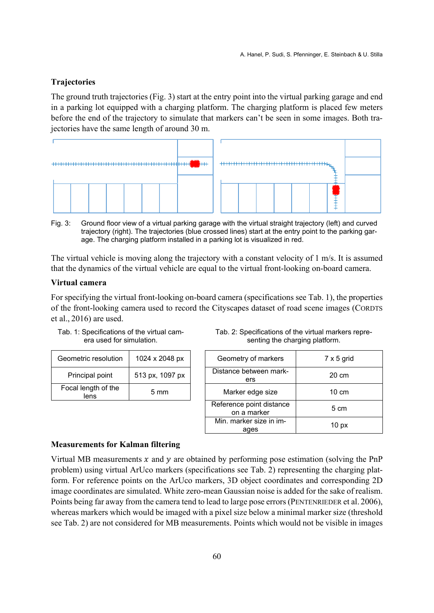#### **Trajectories**

The ground truth trajectories (Fig. 3) start at the entry point into the virtual parking garage and end in a parking lot equipped with a charging platform. The charging platform is placed few meters before the end of the trajectory to simulate that markers can't be seen in some images. Both trajectories have the same length of around 30 m.



Fig. 3: Ground floor view of a virtual parking garage with the virtual straight trajectory (left) and curved trajectory (right). The trajectories (blue crossed lines) start at the entry point to the parking garage. The charging platform installed in a parking lot is visualized in red.

The virtual vehicle is moving along the trajectory with a constant velocity of 1 m/s. It is assumed that the dynamics of the virtual vehicle are equal to the virtual front-looking on-board camera.

### **Virtual camera**

For specifying the virtual front-looking on-board camera (specifications see Tab. 1), the properties of the front-looking camera used to record the Cityscapes dataset of road scene images (CORDTS et al., 2016) are used.

| Tab. 1: Specifications of the virtual cam- |  |
|--------------------------------------------|--|
| era used for simulation.                   |  |

| Geometric resolution        | 1024 x 2048 px  | Geometry of markers           |
|-----------------------------|-----------------|-------------------------------|
| Principal point             | 513 px, 1097 px | Distance between mark-<br>ers |
| Focal length of the<br>lens | $5 \text{ mm}$  | Marker edge size              |

| Tab. 2: Specifications of the virtual markers repre- |
|------------------------------------------------------|
| senting the charging platform.                       |

| Geometric resolution        | 1024 x 2048 px  |                  | Geometry of markers                     | $7 \times 5$ grid |
|-----------------------------|-----------------|------------------|-----------------------------------------|-------------------|
| Principal point             | 513 px, 1097 px |                  | Distance between mark-<br>ers           | 20 cm             |
| Focal length of the<br>lens | $5 \text{ mm}$  | Marker edge size |                                         | $10 \text{ cm}$   |
|                             |                 |                  | Reference point distance<br>on a marker | 5 cm              |
|                             |                 |                  | Min. marker size in im-<br>ages         | 10 <sub>px</sub>  |

#### **Measurements for Kalman filtering**

Virtual MB measurements  $x$  and  $y$  are obtained by performing pose estimation (solving the PnP problem) using virtual ArUco markers (specifications see Tab. 2) representing the charging platform. For reference points on the ArUco markers, 3D object coordinates and corresponding 2D image coordinates are simulated. White zero-mean Gaussian noise is added for the sake of realism. Points being far away from the camera tend to lead to large pose errors (PENTENRIEDER et al. 2006), whereas markers which would be imaged with a pixel size below a minimal marker size (threshold see Tab. 2) are not considered for MB measurements. Points which would not be visible in images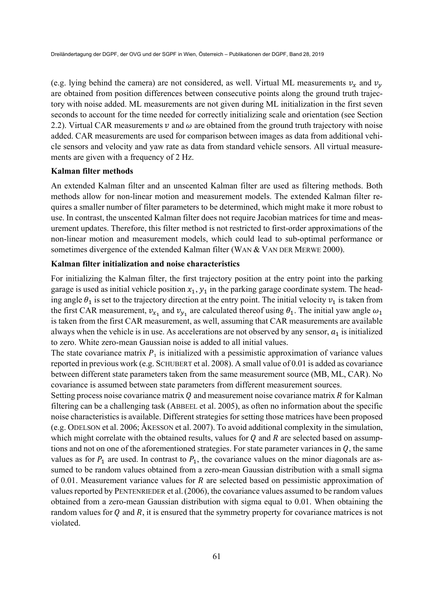(e.g. lying behind the camera) are not considered, as well. Virtual ML measurements  $v_x$  and  $v_y$ are obtained from position differences between consecutive points along the ground truth trajectory with noise added. ML measurements are not given during ML initialization in the first seven seconds to account for the time needed for correctly initializing scale and orientation (see Section 2.2). Virtual CAR measurements  $\nu$  and  $\omega$  are obtained from the ground truth trajectory with noise added. CAR measurements are used for comparison between images as data from additional vehicle sensors and velocity and yaw rate as data from standard vehicle sensors. All virtual measurements are given with a frequency of 2 Hz.

#### **Kalman filter methods**

An extended Kalman filter and an unscented Kalman filter are used as filtering methods. Both methods allow for non-linear motion and measurement models. The extended Kalman filter requires a smaller number of filter parameters to be determined, which might make it more robust to use. In contrast, the unscented Kalman filter does not require Jacobian matrices for time and measurement updates. Therefore, this filter method is not restricted to first-order approximations of the non-linear motion and measurement models, which could lead to sub-optimal performance or sometimes divergence of the extended Kalman filter (WAN & VAN DER MERWE 2000).

#### **Kalman filter initialization and noise characteristics**

For initializing the Kalman filter, the first trajectory position at the entry point into the parking garage is used as initial vehicle position  $x_1$ ,  $y_1$  in the parking garage coordinate system. The heading angle  $\theta_1$  is set to the trajectory direction at the entry point. The initial velocity  $v_1$  is taken from the first CAR measurement,  $v_{x_1}$  and  $v_{y_1}$  are calculated thereof using  $\theta_1$ . The initial yaw angle  $\omega_1$ is taken from the first CAR measurement, as well, assuming that CAR measurements are available always when the vehicle is in use. As accelerations are not observed by any sensor,  $a_1$  is initialized to zero. White zero-mean Gaussian noise is added to all initial values.

The state covariance matrix  $P_1$  is initialized with a pessimistic approximation of variance values reported in previous work (e.g. SCHUBERT et al. 2008). A small value of 0.01 is added as covariance between different state parameters taken from the same measurement source (MB, ML, CAR). No covariance is assumed between state parameters from different measurement sources.

Setting process noise covariance matrix  $Q$  and measurement noise covariance matrix  $R$  for Kalman filtering can be a challenging task (ABBEEL et al. 2005), as often no information about the specific noise characteristics is available. Different strategies for setting those matrices have been proposed (e.g. ODELSON et al. 2006; ÅKESSON et al. 2007). To avoid additional complexity in the simulation, which might correlate with the obtained results, values for  $Q$  and  $R$  are selected based on assumptions and not on one of the aforementioned strategies. For state parameter variances in  $Q$ , the same values as for  $P_1$  are used. In contrast to  $P_1$ , the covariance values on the minor diagonals are assumed to be random values obtained from a zero-mean Gaussian distribution with a small sigma of 0.01. Measurement variance values for  $R$  are selected based on pessimistic approximation of values reported by PENTENRIEDER et al.(2006), the covariance values assumed to be random values obtained from a zero-mean Gaussian distribution with sigma equal to 0.01. When obtaining the random values for  $Q$  and  $R$ , it is ensured that the symmetry property for covariance matrices is not violated.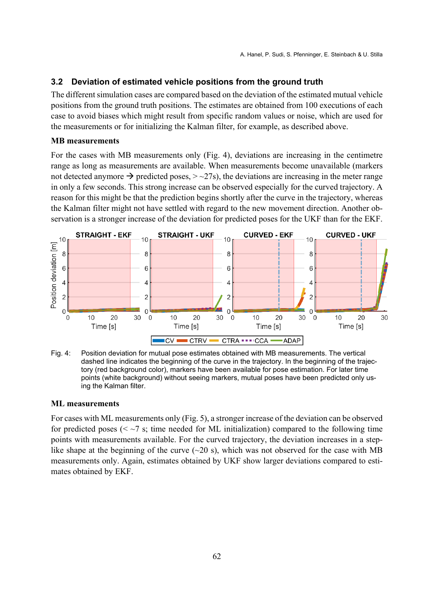### **3.2 Deviation of estimated vehicle positions from the ground truth**

The different simulation cases are compared based on the deviation of the estimated mutual vehicle positions from the ground truth positions. The estimates are obtained from 100 executions of each case to avoid biases which might result from specific random values or noise, which are used for the measurements or for initializing the Kalman filter, for example, as described above.

#### **MB measurements**

For the cases with MB measurements only (Fig. 4), deviations are increasing in the centimetre range as long as measurements are available. When measurements become unavailable (markers not detected anymore  $\rightarrow$  predicted poses,  $>$  ~27s), the deviations are increasing in the meter range in only a few seconds. This strong increase can be observed especially for the curved trajectory. A reason for this might be that the prediction begins shortly after the curve in the trajectory, whereas the Kalman filter might not have settled with regard to the new movement direction. Another observation is a stronger increase of the deviation for predicted poses for the UKF than for the EKF.





#### **ML measurements**

For cases with ML measurements only (Fig. 5), a stronger increase of the deviation can be observed for predicted poses ( $\leq$   $\sim$ 7 s; time needed for ML initialization) compared to the following time points with measurements available. For the curved trajectory, the deviation increases in a steplike shape at the beginning of the curve  $(\sim 20 \text{ s})$ , which was not observed for the case with MB measurements only. Again, estimates obtained by UKF show larger deviations compared to estimates obtained by EKF.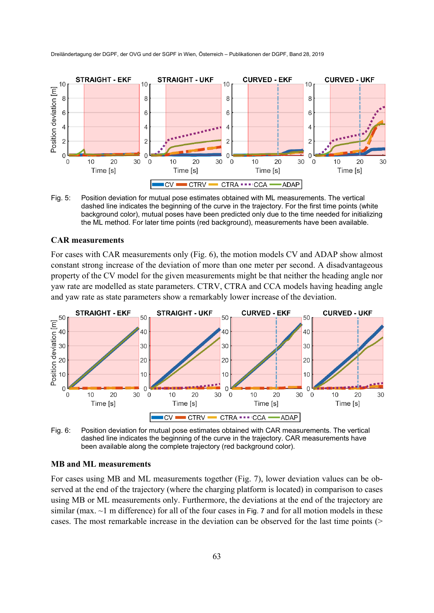

Fig. 5: Position deviation for mutual pose estimates obtained with ML measurements. The vertical dashed line indicates the beginning of the curve in the trajectory. For the first time points (white background color), mutual poses have been predicted only due to the time needed for initializing the ML method. For later time points (red background), measurements have been available.

#### **CAR measurements**

For cases with CAR measurements only (Fig. 6), the motion models CV and ADAP show almost constant strong increase of the deviation of more than one meter per second. A disadvantageous property of the CV model for the given measurements might be that neither the heading angle nor yaw rate are modelled as state parameters. CTRV, CTRA and CCA models having heading angle and yaw rate as state parameters show a remarkably lower increase of the deviation.



Fig. 6: Position deviation for mutual pose estimates obtained with CAR measurements. The vertical dashed line indicates the beginning of the curve in the trajectory. CAR measurements have been available along the complete trajectory (red background color).

#### **MB and ML measurements**

For cases using MB and ML measurements together (Fig. 7), lower deviation values can be observed at the end of the trajectory (where the charging platform is located) in comparison to cases using MB or ML measurements only. Furthermore, the deviations at the end of the trajectory are similar (max.  $\sim$ 1 m difference) for all of the four cases in Fig. 7 and for all motion models in these cases. The most remarkable increase in the deviation can be observed for the last time points (>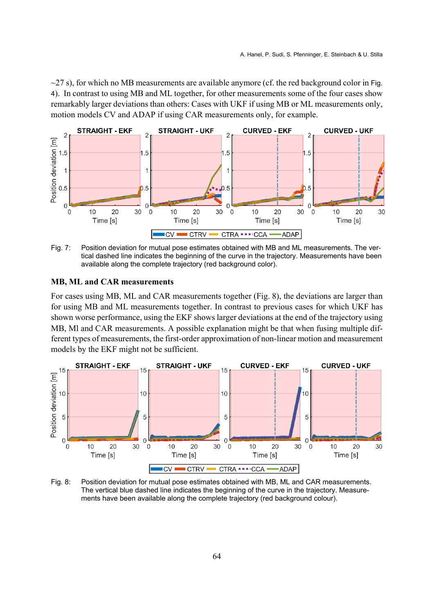$\sim$ 27 s), for which no MB measurements are available anymore (cf. the red background color in Fig. 4). In contrast to using MB and ML together, for other measurements some of the four cases show remarkably larger deviations than others: Cases with UKF if using MB or ML measurements only, motion models CV and ADAP if using CAR measurements only, for example.



Fig. 7: Position deviation for mutual pose estimates obtained with MB and ML measurements. The vertical dashed line indicates the beginning of the curve in the trajectory. Measurements have been available along the complete trajectory (red background color).

#### **MB, ML and CAR measurements**

For cases using MB, ML and CAR measurements together (Fig. 8), the deviations are larger than for using MB and ML measurements together. In contrast to previous cases for which UKF has shown worse performance, using the EKF shows larger deviations at the end of the trajectory using MB, Ml and CAR measurements. A possible explanation might be that when fusing multiple different types of measurements, the first-order approximation of non-linear motion and measurement models by the EKF might not be sufficient.



Fig. 8: Position deviation for mutual pose estimates obtained with MB, ML and CAR measurements. The vertical blue dashed line indicates the beginning of the curve in the trajectory. Measurements have been available along the complete trajectory (red background colour).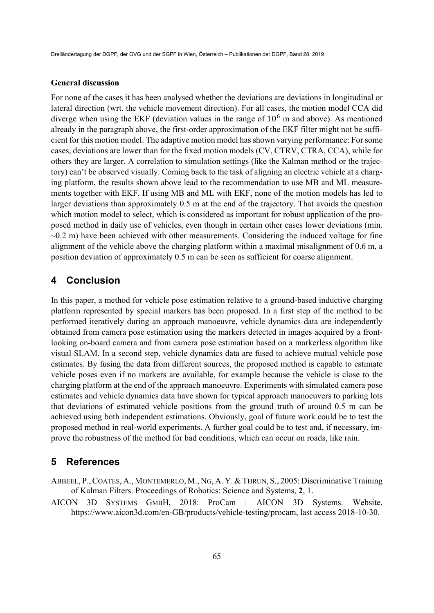#### **General discussion**

For none of the cases it has been analysed whether the deviations are deviations in longitudinal or lateral direction (wrt. the vehicle movement direction). For all cases, the motion model CCA did diverge when using the EKF (deviation values in the range of  $10<sup>6</sup>$  m and above). As mentioned already in the paragraph above, the first-order approximation of the EKF filter might not be sufficient for this motion model. The adaptive motion model has shown varying performance: For some cases, deviations are lower than for the fixed motion models (CV, CTRV, CTRA, CCA), while for others they are larger. A correlation to simulation settings (like the Kalman method or the trajectory) can't be observed visually. Coming back to the task of aligning an electric vehicle at a charging platform, the results shown above lead to the recommendation to use MB and ML measurements together with EKF. If using MB and ML with EKF, none of the motion models has led to larger deviations than approximately 0.5 m at the end of the trajectory. That avoids the question which motion model to select, which is considered as important for robust application of the proposed method in daily use of vehicles, even though in certain other cases lower deviations (min.  $\sim$ 0.2 m) have been achieved with other measurements. Considering the induced voltage for fine alignment of the vehicle above the charging platform within a maximal misalignment of 0.6 m, a position deviation of approximately 0.5 m can be seen as sufficient for coarse alignment.

## **4 Conclusion**

In this paper, a method for vehicle pose estimation relative to a ground-based inductive charging platform represented by special markers has been proposed. In a first step of the method to be performed iteratively during an approach manoeuvre, vehicle dynamics data are independently obtained from camera pose estimation using the markers detected in images acquired by a frontlooking on-board camera and from camera pose estimation based on a markerless algorithm like visual SLAM. In a second step, vehicle dynamics data are fused to achieve mutual vehicle pose estimates. By fusing the data from different sources, the proposed method is capable to estimate vehicle poses even if no markers are available, for example because the vehicle is close to the charging platform at the end of the approach manoeuvre. Experiments with simulated camera pose estimates and vehicle dynamics data have shown for typical approach manoeuvers to parking lots that deviations of estimated vehicle positions from the ground truth of around 0.5 m can be achieved using both independent estimations. Obviously, goal of future work could be to test the proposed method in real-world experiments. A further goal could be to test and, if necessary, improve the robustness of the method for bad conditions, which can occur on roads, like rain.

## **5 References**

ABBEEL, P.,COATES, A., MONTEMERLO, M., NG, A. Y.& THRUN, S., 2005: Discriminative Training of Kalman Filters. Proceedings of Robotics: Science and Systems, **2**, 1.

AICON 3D SYSTEMS GMBH, 2018: ProCam | AICON 3D Systems. Website. https://www.aicon3d.com/en-GB/products/vehicle-testing/procam, last access 2018-10-30.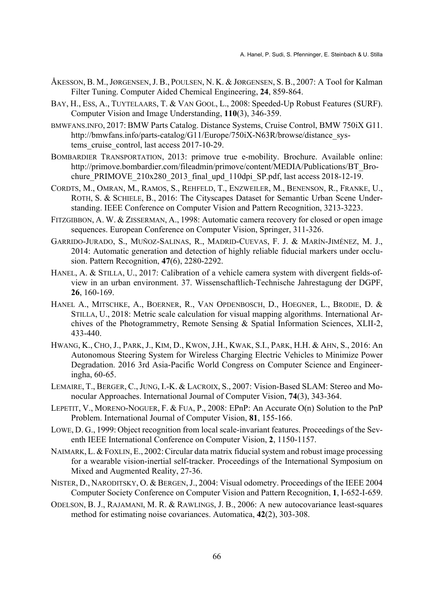- ÅKESSON, B. M., JØRGENSEN, J. B., POULSEN, N. K. & JØRGENSEN, S. B., 2007: A Tool for Kalman Filter Tuning. Computer Aided Chemical Engineering, **24**, 859-864.
- BAY, H., ESS, A., TUYTELAARS, T. & VAN GOOL, L., 2008: Speeded-Up Robust Features (SURF). Computer Vision and Image Understanding, **110**(3), 346-359.
- BMWFANS.INFO, 2017: BMW Parts Catalog. Distance Systems, Cruise Control, BMW 750iX G11. http://bmwfans.info/parts-catalog/G11/Europe/750iX-N63R/browse/distance\_systems cruise control, last access 2017-10-29.
- BOMBARDIER TRANSPORTATION, 2013: primove true e-mobility. Brochure. Available online: http://primove.bombardier.com/fileadmin/primove/content/MEDIA/Publications/BT\_Brochure PRIMOVE  $210x280$   $2013$  final upd  $110$ dpi SP.pdf, last access 2018-12-19.
- CORDTS, M., OMRAN, M., RAMOS, S., REHFELD, T., ENZWEILER, M., BENENSON, R., FRANKE, U., ROTH, S. & SCHIELE, B., 2016: The Cityscapes Dataset for Semantic Urban Scene Understanding. IEEE Conference on Computer Vision and Pattern Recognition, 3213-3223.
- FITZGIBBON, A. W. & ZISSERMAN, A., 1998: Automatic camera recovery for closed or open image sequences. European Conference on Computer Vision, Springer, 311-326.
- GARRIDO-JURADO, S., MUÑOZ-SALINAS, R., MADRID-CUEVAS, F. J. & MARÍN-JIMÉNEZ, M. J., 2014: Automatic generation and detection of highly reliable fiducial markers under occlusion. Pattern Recognition, **47**(6), 2280-2292.
- HANEL, A. & STILLA, U., 2017: Calibration of a vehicle camera system with divergent fields-ofview in an urban environment. 37. Wissenschaftlich-Technische Jahrestagung der DGPF, **26**, 160-169.
- HANEL A., MITSCHKE, A., BOERNER, R., VAN OPDENBOSCH, D., HOEGNER, L., BRODIE, D. & STILLA, U., 2018: Metric scale calculation for visual mapping algorithms. International Archives of the Photogrammetry, Remote Sensing & Spatial Information Sciences, XLII-2, 433-440.
- HWANG, K., CHO, J., PARK, J., KIM, D., KWON, J.H., KWAK, S.I., PARK, H.H. & AHN, S., 2016: An Autonomous Steering System for Wireless Charging Electric Vehicles to Minimize Power Degradation. 2016 3rd Asia-Pacific World Congress on Computer Science and Engineeringha, 60-65.
- LEMAIRE, T., BERGER, C.,JUNG, I.-K. & LACROIX, S., 2007: Vision-Based SLAM: Stereo and Monocular Approaches. International Journal of Computer Vision, **74**(3), 343-364.
- LEPETIT, V., MORENO-NOGUER, F. & FUA, P., 2008: EPnP: An Accurate O(n) Solution to the PnP Problem. International Journal of Computer Vision, **81**, 155-166.
- LOWE, D. G., 1999: Object recognition from local scale-invariant features. Proceedings of the Seventh IEEE International Conference on Computer Vision, **2**, 1150-1157.
- NAIMARK, L. &FOXLIN, E., 2002:Circular data matrix fiducial system and robust image processing for a wearable vision-inertial self-tracker. Proceedings of the International Symposium on Mixed and Augmented Reality, 27-36.
- NISTER, D., NARODITSKY, O. & BERGEN, J., 2004: Visual odometry. Proceedings of the IEEE 2004 Computer Society Conference on Computer Vision and Pattern Recognition, **1**, I-652-I-659.
- ODELSON, B. J., RAJAMANI, M. R. & RAWLINGS, J. B., 2006: A new autocovariance least-squares method for estimating noise covariances. Automatica, **42**(2), 303-308.